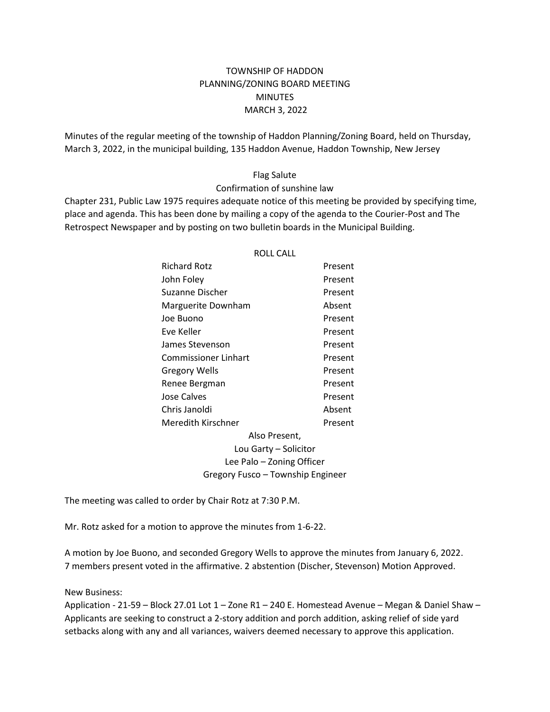# TOWNSHIP OF HADDON PLANNING/ZONING BOARD MEETING **MINUTES** MARCH 3, 2022

Minutes of the regular meeting of the township of Haddon Planning/Zoning Board, held on Thursday, March 3, 2022, in the municipal building, 135 Haddon Avenue, Haddon Township, New Jersey

# Flag Salute

## Confirmation of sunshine law

Chapter 231, Public Law 1975 requires adequate notice of this meeting be provided by specifying time, place and agenda. This has been done by mailing a copy of the agenda to the Courier-Post and The Retrospect Newspaper and by posting on two bulletin boards in the Municipal Building.

ROLL CALL

|                                   | INVLL CALL |
|-----------------------------------|------------|
| Richard Rotz                      | Present    |
| John Foley                        | Present    |
| Suzanne Discher                   | Present    |
| Marguerite Downham                | Absent     |
| Joe Buono                         | Present    |
| Eve Keller                        | Present    |
| James Stevenson                   | Present    |
| Commissioner Linhart              | Present    |
| <b>Gregory Wells</b>              | Present    |
| Renee Bergman                     | Present    |
| Jose Calves                       | Present    |
| Chris Janoldi                     | Absent     |
| Meredith Kirschner                | Present    |
| Also Present,                     |            |
| Lou Garty - Solicitor             |            |
| Lee Palo – Zoning Officer         |            |
| Gregory Fusco - Township Engineer |            |

The meeting was called to order by Chair Rotz at 7:30 P.M.

Mr. Rotz asked for a motion to approve the minutes from 1-6-22.

A motion by Joe Buono, and seconded Gregory Wells to approve the minutes from January 6, 2022. 7 members present voted in the affirmative. 2 abstention (Discher, Stevenson) Motion Approved.

### New Business:

Application - 21-59 – Block 27.01 Lot 1 – Zone R1 – 240 E. Homestead Avenue – Megan & Daniel Shaw – Applicants are seeking to construct a 2-story addition and porch addition, asking relief of side yard setbacks along with any and all variances, waivers deemed necessary to approve this application.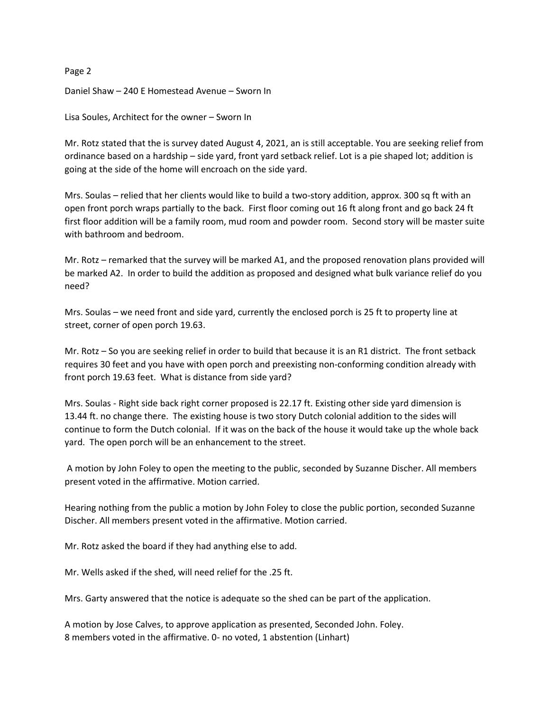Daniel Shaw – 240 E Homestead Avenue – Sworn In

Lisa Soules, Architect for the owner – Sworn In

Mr. Rotz stated that the is survey dated August 4, 2021, an is still acceptable. You are seeking relief from ordinance based on a hardship – side yard, front yard setback relief. Lot is a pie shaped lot; addition is going at the side of the home will encroach on the side yard.

Mrs. Soulas – relied that her clients would like to build a two-story addition, approx. 300 sq ft with an open front porch wraps partially to the back. First floor coming out 16 ft along front and go back 24 ft first floor addition will be a family room, mud room and powder room. Second story will be master suite with bathroom and bedroom.

Mr. Rotz – remarked that the survey will be marked A1, and the proposed renovation plans provided will be marked A2. In order to build the addition as proposed and designed what bulk variance relief do you need?

Mrs. Soulas – we need front and side yard, currently the enclosed porch is 25 ft to property line at street, corner of open porch 19.63.

Mr. Rotz – So you are seeking relief in order to build that because it is an R1 district. The front setback requires 30 feet and you have with open porch and preexisting non-conforming condition already with front porch 19.63 feet. What is distance from side yard?

Mrs. Soulas - Right side back right corner proposed is 22.17 ft. Existing other side yard dimension is 13.44 ft. no change there. The existing house is two story Dutch colonial addition to the sides will continue to form the Dutch colonial. If it was on the back of the house it would take up the whole back yard. The open porch will be an enhancement to the street.

A motion by John Foley to open the meeting to the public, seconded by Suzanne Discher. All members present voted in the affirmative. Motion carried.

Hearing nothing from the public a motion by John Foley to close the public portion, seconded Suzanne Discher. All members present voted in the affirmative. Motion carried.

Mr. Rotz asked the board if they had anything else to add.

Mr. Wells asked if the shed, will need relief for the .25 ft.

Mrs. Garty answered that the notice is adequate so the shed can be part of the application.

A motion by Jose Calves, to approve application as presented, Seconded John. Foley. 8 members voted in the affirmative. 0- no voted, 1 abstention (Linhart)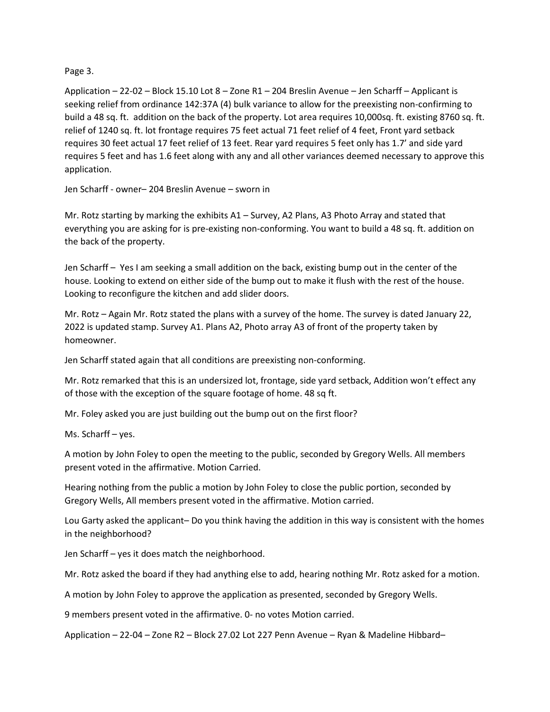# Page 3.

Application – 22-02 – Block 15.10 Lot 8 – Zone R1 – 204 Breslin Avenue – Jen Scharff – Applicant is seeking relief from ordinance 142:37A (4) bulk variance to allow for the preexisting non-confirming to build a 48 sq. ft. addition on the back of the property. Lot area requires 10,000sq. ft. existing 8760 sq. ft. relief of 1240 sq. ft. lot frontage requires 75 feet actual 71 feet relief of 4 feet, Front yard setback requires 30 feet actual 17 feet relief of 13 feet. Rear yard requires 5 feet only has 1.7' and side yard requires 5 feet and has 1.6 feet along with any and all other variances deemed necessary to approve this application.

Jen Scharff - owner– 204 Breslin Avenue – sworn in

Mr. Rotz starting by marking the exhibits A1 – Survey, A2 Plans, A3 Photo Array and stated that everything you are asking for is pre-existing non-conforming. You want to build a 48 sq. ft. addition on the back of the property.

Jen Scharff – Yes I am seeking a small addition on the back, existing bump out in the center of the house. Looking to extend on either side of the bump out to make it flush with the rest of the house. Looking to reconfigure the kitchen and add slider doors.

Mr. Rotz – Again Mr. Rotz stated the plans with a survey of the home. The survey is dated January 22, 2022 is updated stamp. Survey A1. Plans A2, Photo array A3 of front of the property taken by homeowner.

Jen Scharff stated again that all conditions are preexisting non-conforming.

Mr. Rotz remarked that this is an undersized lot, frontage, side yard setback, Addition won't effect any of those with the exception of the square footage of home. 48 sq ft.

Mr. Foley asked you are just building out the bump out on the first floor?

Ms. Scharff – yes.

A motion by John Foley to open the meeting to the public, seconded by Gregory Wells. All members present voted in the affirmative. Motion Carried.

Hearing nothing from the public a motion by John Foley to close the public portion, seconded by Gregory Wells, All members present voted in the affirmative. Motion carried.

Lou Garty asked the applicant– Do you think having the addition in this way is consistent with the homes in the neighborhood?

Jen Scharff – yes it does match the neighborhood.

Mr. Rotz asked the board if they had anything else to add, hearing nothing Mr. Rotz asked for a motion.

A motion by John Foley to approve the application as presented, seconded by Gregory Wells.

9 members present voted in the affirmative. 0- no votes Motion carried.

Application – 22-04 – Zone R2 – Block 27.02 Lot 227 Penn Avenue – Ryan & Madeline Hibbard–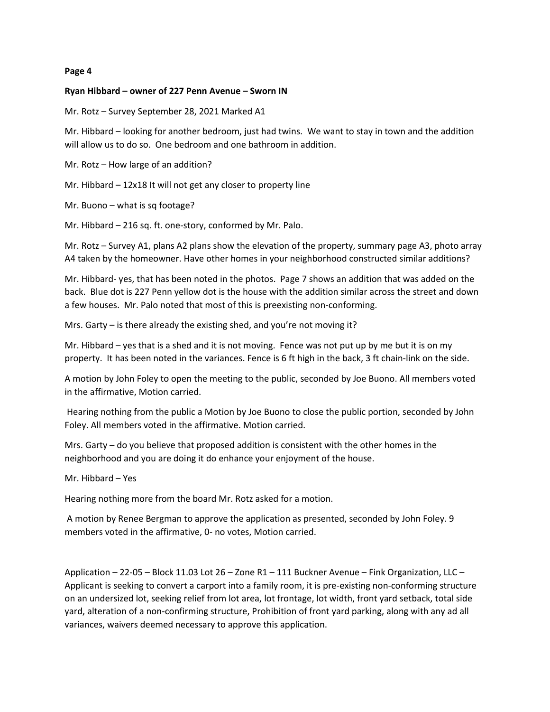#### **Ryan Hibbard – owner of 227 Penn Avenue – Sworn IN**

Mr. Rotz – Survey September 28, 2021 Marked A1

Mr. Hibbard – looking for another bedroom, just had twins. We want to stay in town and the addition will allow us to do so. One bedroom and one bathroom in addition.

Mr. Rotz – How large of an addition?

Mr. Hibbard – 12x18 It will not get any closer to property line

Mr. Buono – what is sq footage?

Mr. Hibbard – 216 sq. ft. one-story, conformed by Mr. Palo.

Mr. Rotz – Survey A1, plans A2 plans show the elevation of the property, summary page A3, photo array A4 taken by the homeowner. Have other homes in your neighborhood constructed similar additions?

Mr. Hibbard- yes, that has been noted in the photos. Page 7 shows an addition that was added on the back. Blue dot is 227 Penn yellow dot is the house with the addition similar across the street and down a few houses. Mr. Palo noted that most of this is preexisting non-conforming.

Mrs. Garty – is there already the existing shed, and you're not moving it?

Mr. Hibbard – yes that is a shed and it is not moving. Fence was not put up by me but it is on my property. It has been noted in the variances. Fence is 6 ft high in the back, 3 ft chain-link on the side.

A motion by John Foley to open the meeting to the public, seconded by Joe Buono. All members voted in the affirmative, Motion carried.

Hearing nothing from the public a Motion by Joe Buono to close the public portion, seconded by John Foley. All members voted in the affirmative. Motion carried.

Mrs. Garty – do you believe that proposed addition is consistent with the other homes in the neighborhood and you are doing it do enhance your enjoyment of the house.

Mr. Hibbard – Yes

Hearing nothing more from the board Mr. Rotz asked for a motion.

A motion by Renee Bergman to approve the application as presented, seconded by John Foley. 9 members voted in the affirmative, 0- no votes, Motion carried.

Application – 22-05 – Block 11.03 Lot 26 – Zone R1 – 111 Buckner Avenue – Fink Organization, LLC – Applicant is seeking to convert a carport into a family room, it is pre-existing non-conforming structure on an undersized lot, seeking relief from lot area, lot frontage, lot width, front yard setback, total side yard, alteration of a non-confirming structure, Prohibition of front yard parking, along with any ad all variances, waivers deemed necessary to approve this application.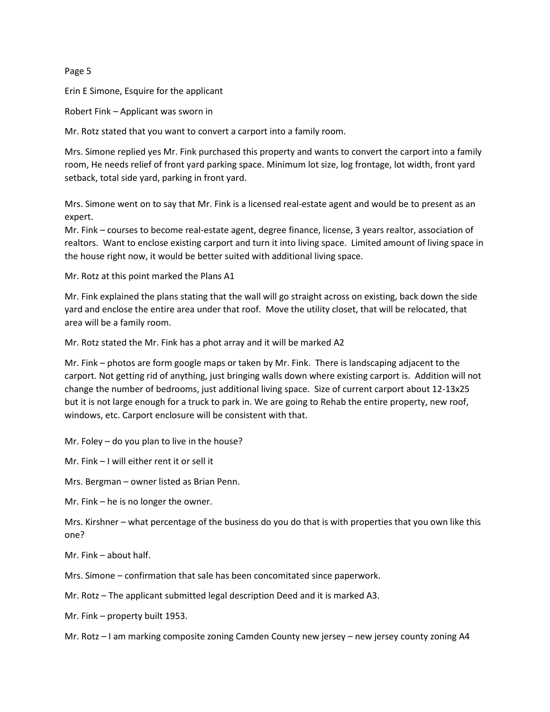Erin E Simone, Esquire for the applicant

Robert Fink – Applicant was sworn in

Mr. Rotz stated that you want to convert a carport into a family room.

Mrs. Simone replied yes Mr. Fink purchased this property and wants to convert the carport into a family room, He needs relief of front yard parking space. Minimum lot size, log frontage, lot width, front yard setback, total side yard, parking in front yard.

Mrs. Simone went on to say that Mr. Fink is a licensed real-estate agent and would be to present as an expert.

Mr. Fink – courses to become real-estate agent, degree finance, license, 3 years realtor, association of realtors. Want to enclose existing carport and turn it into living space. Limited amount of living space in the house right now, it would be better suited with additional living space.

Mr. Rotz at this point marked the Plans A1

Mr. Fink explained the plans stating that the wall will go straight across on existing, back down the side yard and enclose the entire area under that roof. Move the utility closet, that will be relocated, that area will be a family room.

Mr. Rotz stated the Mr. Fink has a phot array and it will be marked A2

Mr. Fink – photos are form google maps or taken by Mr. Fink. There is landscaping adjacent to the carport. Not getting rid of anything, just bringing walls down where existing carport is. Addition will not change the number of bedrooms, just additional living space. Size of current carport about 12-13x25 but it is not large enough for a truck to park in. We are going to Rehab the entire property, new roof, windows, etc. Carport enclosure will be consistent with that.

Mr. Foley – do you plan to live in the house?

Mr. Fink – I will either rent it or sell it

Mrs. Bergman – owner listed as Brian Penn.

Mr. Fink – he is no longer the owner.

Mrs. Kirshner – what percentage of the business do you do that is with properties that you own like this one?

Mr. Fink – about half.

Mrs. Simone – confirmation that sale has been concomitated since paperwork.

Mr. Rotz – The applicant submitted legal description Deed and it is marked A3.

Mr. Fink – property built 1953.

Mr. Rotz – I am marking composite zoning Camden County new jersey – new jersey county zoning A4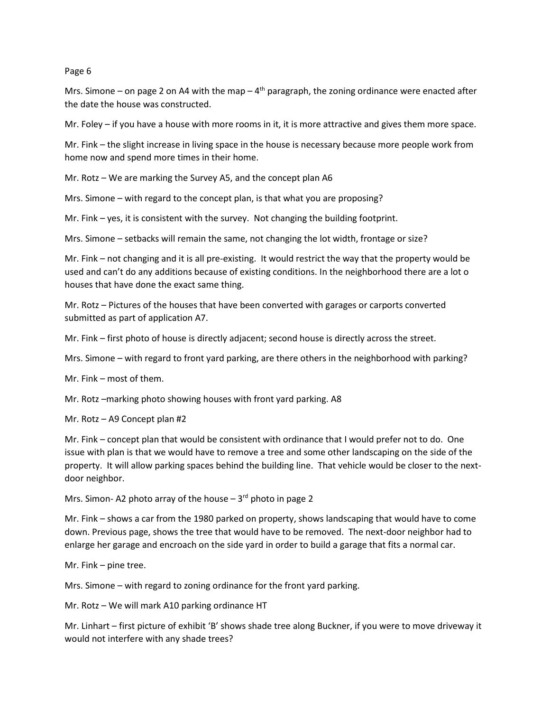Mrs. Simone – on page 2 on A4 with the map –  $4<sup>th</sup>$  paragraph, the zoning ordinance were enacted after the date the house was constructed.

Mr. Foley – if you have a house with more rooms in it, it is more attractive and gives them more space.

Mr. Fink – the slight increase in living space in the house is necessary because more people work from home now and spend more times in their home.

Mr. Rotz – We are marking the Survey A5, and the concept plan A6

Mrs. Simone – with regard to the concept plan, is that what you are proposing?

Mr. Fink – yes, it is consistent with the survey. Not changing the building footprint.

Mrs. Simone – setbacks will remain the same, not changing the lot width, frontage or size?

Mr. Fink – not changing and it is all pre-existing. It would restrict the way that the property would be used and can't do any additions because of existing conditions. In the neighborhood there are a lot o houses that have done the exact same thing.

Mr. Rotz – Pictures of the houses that have been converted with garages or carports converted submitted as part of application A7.

Mr. Fink – first photo of house is directly adjacent; second house is directly across the street.

Mrs. Simone – with regard to front yard parking, are there others in the neighborhood with parking?

Mr. Fink – most of them.

Mr. Rotz –marking photo showing houses with front yard parking. A8

Mr. Rotz – A9 Concept plan #2

Mr. Fink – concept plan that would be consistent with ordinance that I would prefer not to do. One issue with plan is that we would have to remove a tree and some other landscaping on the side of the property. It will allow parking spaces behind the building line. That vehicle would be closer to the nextdoor neighbor.

Mrs. Simon- A2 photo array of the house  $-3<sup>rd</sup>$  photo in page 2

Mr. Fink – shows a car from the 1980 parked on property, shows landscaping that would have to come down. Previous page, shows the tree that would have to be removed. The next-door neighbor had to enlarge her garage and encroach on the side yard in order to build a garage that fits a normal car.

Mr. Fink – pine tree.

Mrs. Simone – with regard to zoning ordinance for the front yard parking.

Mr. Rotz – We will mark A10 parking ordinance HT

Mr. Linhart – first picture of exhibit 'B' shows shade tree along Buckner, if you were to move driveway it would not interfere with any shade trees?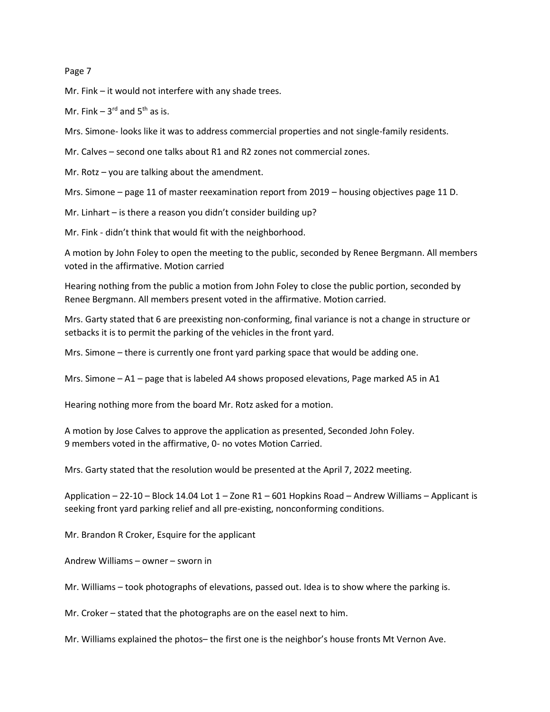Mr. Fink – it would not interfere with any shade trees.

Mr. Fink  $-3^{rd}$  and  $5^{th}$  as is.

Mrs. Simone- looks like it was to address commercial properties and not single-family residents.

Mr. Calves – second one talks about R1 and R2 zones not commercial zones.

Mr. Rotz – you are talking about the amendment.

Mrs. Simone – page 11 of master reexamination report from 2019 – housing objectives page 11 D.

Mr. Linhart – is there a reason you didn't consider building up?

Mr. Fink - didn't think that would fit with the neighborhood.

A motion by John Foley to open the meeting to the public, seconded by Renee Bergmann. All members voted in the affirmative. Motion carried

Hearing nothing from the public a motion from John Foley to close the public portion, seconded by Renee Bergmann. All members present voted in the affirmative. Motion carried.

Mrs. Garty stated that 6 are preexisting non-conforming, final variance is not a change in structure or setbacks it is to permit the parking of the vehicles in the front yard.

Mrs. Simone – there is currently one front yard parking space that would be adding one.

Mrs. Simone – A1 – page that is labeled A4 shows proposed elevations, Page marked A5 in A1

Hearing nothing more from the board Mr. Rotz asked for a motion.

A motion by Jose Calves to approve the application as presented, Seconded John Foley. 9 members voted in the affirmative, 0- no votes Motion Carried.

Mrs. Garty stated that the resolution would be presented at the April 7, 2022 meeting.

Application – 22-10 – Block 14.04 Lot 1 – Zone R1 – 601 Hopkins Road – Andrew Williams – Applicant is seeking front yard parking relief and all pre-existing, nonconforming conditions.

Mr. Brandon R Croker, Esquire for the applicant

Andrew Williams – owner – sworn in

Mr. Williams – took photographs of elevations, passed out. Idea is to show where the parking is.

Mr. Croker – stated that the photographs are on the easel next to him.

Mr. Williams explained the photos– the first one is the neighbor's house fronts Mt Vernon Ave.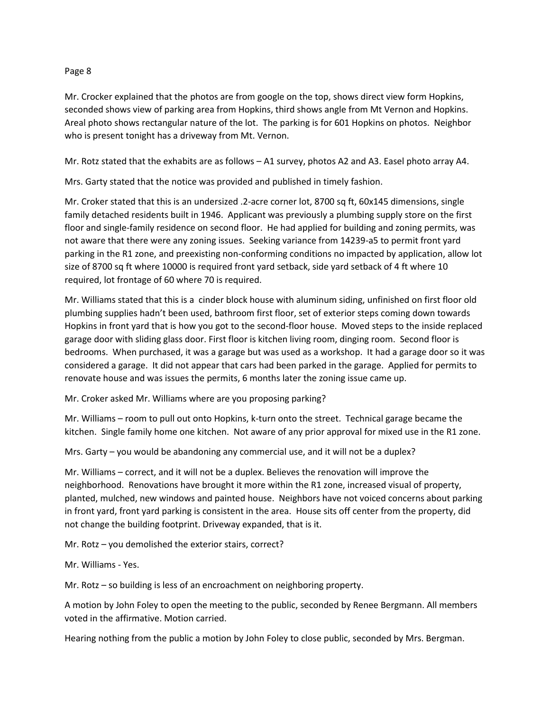Mr. Crocker explained that the photos are from google on the top, shows direct view form Hopkins, seconded shows view of parking area from Hopkins, third shows angle from Mt Vernon and Hopkins. Areal photo shows rectangular nature of the lot. The parking is for 601 Hopkins on photos. Neighbor who is present tonight has a driveway from Mt. Vernon.

Mr. Rotz stated that the exhabits are as follows – A1 survey, photos A2 and A3. Easel photo array A4.

Mrs. Garty stated that the notice was provided and published in timely fashion.

Mr. Croker stated that this is an undersized .2-acre corner lot, 8700 sq ft, 60x145 dimensions, single family detached residents built in 1946. Applicant was previously a plumbing supply store on the first floor and single-family residence on second floor. He had applied for building and zoning permits, was not aware that there were any zoning issues. Seeking variance from 14239-a5 to permit front yard parking in the R1 zone, and preexisting non-conforming conditions no impacted by application, allow lot size of 8700 sq ft where 10000 is required front yard setback, side yard setback of 4 ft where 10 required, lot frontage of 60 where 70 is required.

Mr. Williams stated that this is a cinder block house with aluminum siding, unfinished on first floor old plumbing supplies hadn't been used, bathroom first floor, set of exterior steps coming down towards Hopkins in front yard that is how you got to the second-floor house. Moved steps to the inside replaced garage door with sliding glass door. First floor is kitchen living room, dinging room. Second floor is bedrooms. When purchased, it was a garage but was used as a workshop. It had a garage door so it was considered a garage. It did not appear that cars had been parked in the garage. Applied for permits to renovate house and was issues the permits, 6 months later the zoning issue came up.

Mr. Croker asked Mr. Williams where are you proposing parking?

Mr. Williams – room to pull out onto Hopkins, k-turn onto the street. Technical garage became the kitchen. Single family home one kitchen. Not aware of any prior approval for mixed use in the R1 zone.

Mrs. Garty – you would be abandoning any commercial use, and it will not be a duplex?

Mr. Williams – correct, and it will not be a duplex. Believes the renovation will improve the neighborhood. Renovations have brought it more within the R1 zone, increased visual of property, planted, mulched, new windows and painted house. Neighbors have not voiced concerns about parking in front yard, front yard parking is consistent in the area. House sits off center from the property, did not change the building footprint. Driveway expanded, that is it.

Mr. Rotz – you demolished the exterior stairs, correct?

Mr. Williams - Yes.

Mr. Rotz – so building is less of an encroachment on neighboring property.

A motion by John Foley to open the meeting to the public, seconded by Renee Bergmann. All members voted in the affirmative. Motion carried.

Hearing nothing from the public a motion by John Foley to close public, seconded by Mrs. Bergman.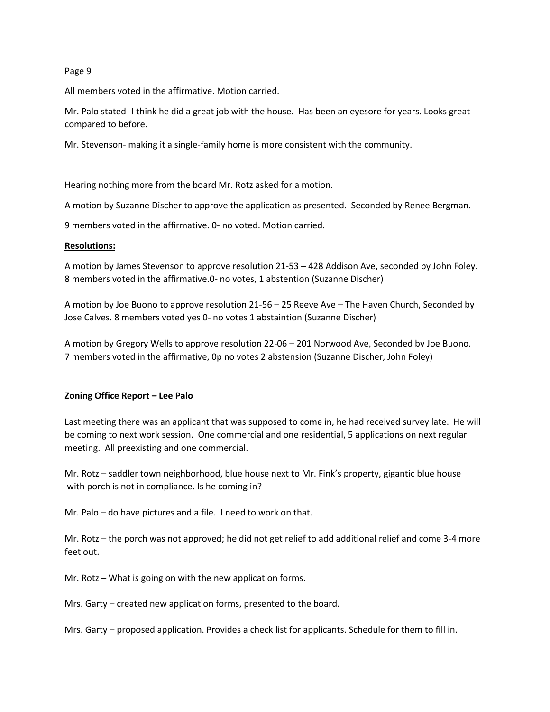All members voted in the affirmative. Motion carried.

Mr. Palo stated- I think he did a great job with the house. Has been an eyesore for years. Looks great compared to before.

Mr. Stevenson- making it a single-family home is more consistent with the community.

Hearing nothing more from the board Mr. Rotz asked for a motion.

A motion by Suzanne Discher to approve the application as presented. Seconded by Renee Bergman.

9 members voted in the affirmative. 0- no voted. Motion carried.

# **Resolutions:**

A motion by James Stevenson to approve resolution 21-53 – 428 Addison Ave, seconded by John Foley. 8 members voted in the affirmative.0- no votes, 1 abstention (Suzanne Discher)

A motion by Joe Buono to approve resolution 21-56 – 25 Reeve Ave – The Haven Church, Seconded by Jose Calves. 8 members voted yes 0- no votes 1 abstaintion (Suzanne Discher)

A motion by Gregory Wells to approve resolution 22-06 – 201 Norwood Ave, Seconded by Joe Buono. 7 members voted in the affirmative, 0p no votes 2 abstension (Suzanne Discher, John Foley)

# **Zoning Office Report – Lee Palo**

Last meeting there was an applicant that was supposed to come in, he had received survey late. He will be coming to next work session. One commercial and one residential, 5 applications on next regular meeting. All preexisting and one commercial.

Mr. Rotz – saddler town neighborhood, blue house next to Mr. Fink's property, gigantic blue house with porch is not in compliance. Is he coming in?

Mr. Palo – do have pictures and a file. I need to work on that.

Mr. Rotz – the porch was not approved; he did not get relief to add additional relief and come 3-4 more feet out.

Mr. Rotz – What is going on with the new application forms.

Mrs. Garty – created new application forms, presented to the board.

Mrs. Garty – proposed application. Provides a check list for applicants. Schedule for them to fill in.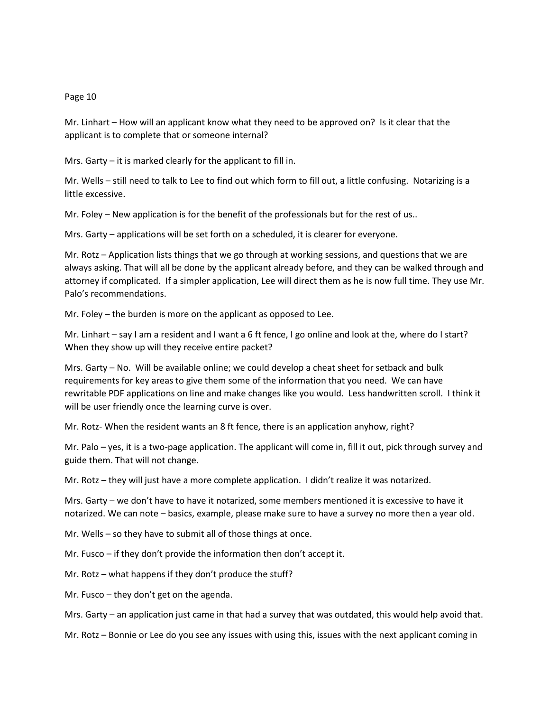Mr. Linhart – How will an applicant know what they need to be approved on? Is it clear that the applicant is to complete that or someone internal?

Mrs. Garty – it is marked clearly for the applicant to fill in.

Mr. Wells – still need to talk to Lee to find out which form to fill out, a little confusing. Notarizing is a little excessive.

Mr. Foley – New application is for the benefit of the professionals but for the rest of us..

Mrs. Garty – applications will be set forth on a scheduled, it is clearer for everyone.

Mr. Rotz – Application lists things that we go through at working sessions, and questions that we are always asking. That will all be done by the applicant already before, and they can be walked through and attorney if complicated. If a simpler application, Lee will direct them as he is now full time. They use Mr. Palo's recommendations.

Mr. Foley – the burden is more on the applicant as opposed to Lee.

Mr. Linhart – say I am a resident and I want a 6 ft fence, I go online and look at the, where do I start? When they show up will they receive entire packet?

Mrs. Garty – No. Will be available online; we could develop a cheat sheet for setback and bulk requirements for key areas to give them some of the information that you need. We can have rewritable PDF applications on line and make changes like you would. Less handwritten scroll. I think it will be user friendly once the learning curve is over.

Mr. Rotz- When the resident wants an 8 ft fence, there is an application anyhow, right?

Mr. Palo – yes, it is a two-page application. The applicant will come in, fill it out, pick through survey and guide them. That will not change.

Mr. Rotz – they will just have a more complete application. I didn't realize it was notarized.

Mrs. Garty – we don't have to have it notarized, some members mentioned it is excessive to have it notarized. We can note – basics, example, please make sure to have a survey no more then a year old.

Mr. Wells – so they have to submit all of those things at once.

Mr. Fusco – if they don't provide the information then don't accept it.

Mr. Rotz – what happens if they don't produce the stuff?

Mr. Fusco – they don't get on the agenda.

Mrs. Garty – an application just came in that had a survey that was outdated, this would help avoid that.

Mr. Rotz – Bonnie or Lee do you see any issues with using this, issues with the next applicant coming in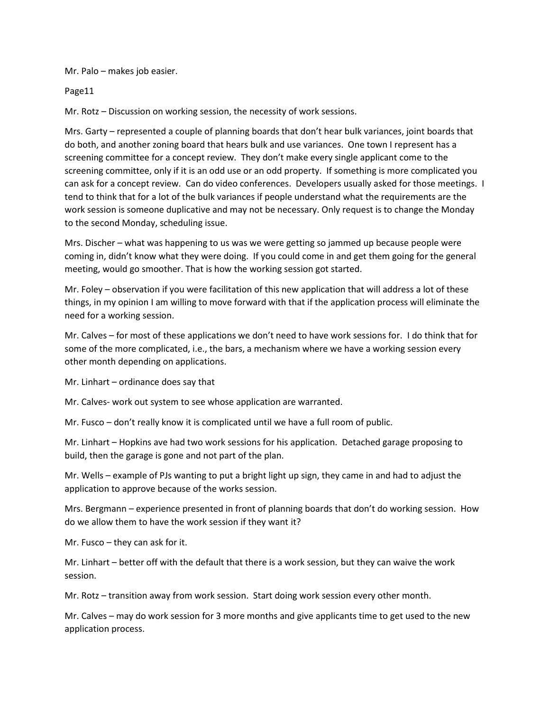Mr. Palo – makes job easier.

Page11

Mr. Rotz – Discussion on working session, the necessity of work sessions.

Mrs. Garty – represented a couple of planning boards that don't hear bulk variances, joint boards that do both, and another zoning board that hears bulk and use variances. One town I represent has a screening committee for a concept review. They don't make every single applicant come to the screening committee, only if it is an odd use or an odd property. If something is more complicated you can ask for a concept review. Can do video conferences. Developers usually asked for those meetings. I tend to think that for a lot of the bulk variances if people understand what the requirements are the work session is someone duplicative and may not be necessary. Only request is to change the Monday to the second Monday, scheduling issue.

Mrs. Discher – what was happening to us was we were getting so jammed up because people were coming in, didn't know what they were doing. If you could come in and get them going for the general meeting, would go smoother. That is how the working session got started.

Mr. Foley – observation if you were facilitation of this new application that will address a lot of these things, in my opinion I am willing to move forward with that if the application process will eliminate the need for a working session.

Mr. Calves – for most of these applications we don't need to have work sessions for. I do think that for some of the more complicated, i.e., the bars, a mechanism where we have a working session every other month depending on applications.

Mr. Linhart – ordinance does say that

Mr. Calves- work out system to see whose application are warranted.

Mr. Fusco – don't really know it is complicated until we have a full room of public.

Mr. Linhart – Hopkins ave had two work sessions for his application. Detached garage proposing to build, then the garage is gone and not part of the plan.

Mr. Wells – example of PJs wanting to put a bright light up sign, they came in and had to adjust the application to approve because of the works session.

Mrs. Bergmann – experience presented in front of planning boards that don't do working session. How do we allow them to have the work session if they want it?

Mr. Fusco – they can ask for it.

Mr. Linhart – better off with the default that there is a work session, but they can waive the work session.

Mr. Rotz – transition away from work session. Start doing work session every other month.

Mr. Calves – may do work session for 3 more months and give applicants time to get used to the new application process.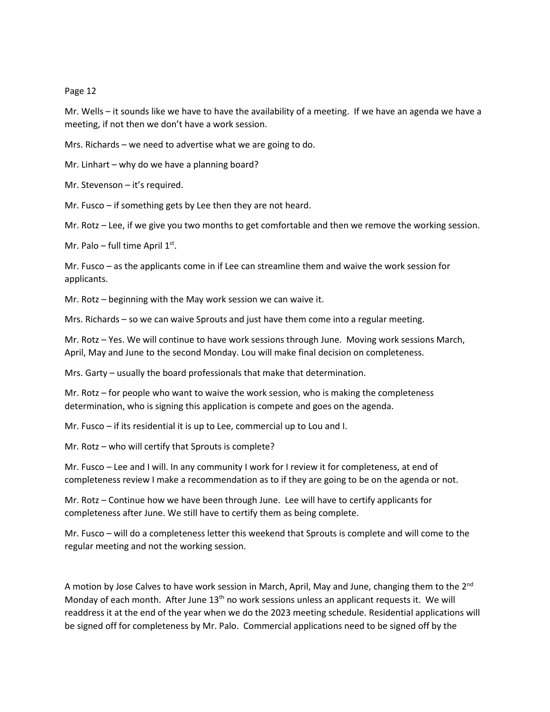Mr. Wells – it sounds like we have to have the availability of a meeting. If we have an agenda we have a meeting, if not then we don't have a work session.

Mrs. Richards – we need to advertise what we are going to do.

Mr. Linhart – why do we have a planning board?

Mr. Stevenson – it's required.

Mr. Fusco – if something gets by Lee then they are not heard.

Mr. Rotz – Lee, if we give you two months to get comfortable and then we remove the working session.

Mr. Palo – full time April  $1<sup>st</sup>$ .

Mr. Fusco – as the applicants come in if Lee can streamline them and waive the work session for applicants.

Mr. Rotz – beginning with the May work session we can waive it.

Mrs. Richards – so we can waive Sprouts and just have them come into a regular meeting.

Mr. Rotz – Yes. We will continue to have work sessions through June. Moving work sessions March, April, May and June to the second Monday. Lou will make final decision on completeness.

Mrs. Garty – usually the board professionals that make that determination.

Mr. Rotz – for people who want to waive the work session, who is making the completeness determination, who is signing this application is compete and goes on the agenda.

Mr. Fusco – if its residential it is up to Lee, commercial up to Lou and I.

Mr. Rotz – who will certify that Sprouts is complete?

Mr. Fusco – Lee and I will. In any community I work for I review it for completeness, at end of completeness review I make a recommendation as to if they are going to be on the agenda or not.

Mr. Rotz – Continue how we have been through June. Lee will have to certify applicants for completeness after June. We still have to certify them as being complete.

Mr. Fusco – will do a completeness letter this weekend that Sprouts is complete and will come to the regular meeting and not the working session.

A motion by Jose Calves to have work session in March, April, May and June, changing them to the 2<sup>nd</sup> Monday of each month. After June  $13<sup>th</sup>$  no work sessions unless an applicant requests it. We will readdress it at the end of the year when we do the 2023 meeting schedule. Residential applications will be signed off for completeness by Mr. Palo. Commercial applications need to be signed off by the